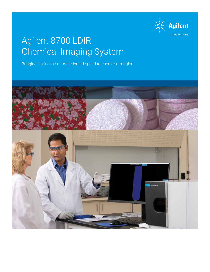

# Agilent 8700 LDIR Chemical Imaging System

Bringing clarity and unprecedented speed to chemical imaging

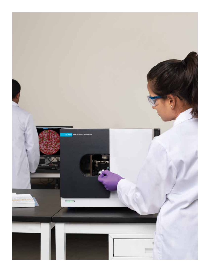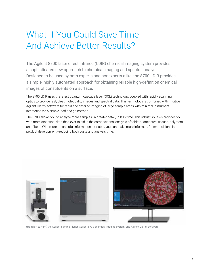# What If You Could Save Time And Achieve Better Results?

The Agilent 8700 laser direct infrared (LDIR) chemical imaging system provides a sophisticated new approach to chemical imaging and spectral analysis. Designed to be used by both experts and nonexperts alike, the 8700 LDIR provides a simple, highly automated approach for obtaining reliable high-definition chemical images of constituents on a surface.

The 8700 LDIR uses the latest quantum cascade laser (QCL) technology, coupled with rapidly scanning optics to provide fast, clear, high-quality images and spectral data. This technology is combined with intuitive Agilent Clarity software for rapid and detailed imaging of large sample areas with minimal instrument interaction via a simple load and go method.

The 8700 allows you to analyze more samples, in greater detail, in less time. This robust solution provides you with more statistical data than ever to aid in the compositional analysis of tablets, laminates, tissues, polymers, and fibers. With more meaningful information available, you can make more informed, faster decisions in product development—reducing both costs and analysis time.



(from left to right) the Agilent Sample Planer, Agilent 8700 chemical imaging system, and Agilent Clarity software.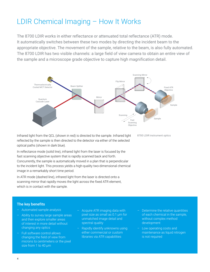# LDIR Chemical Imaging – How It Works

The 8700 LDIR works in either reflectance or attenuated total reflectance (ATR) mode. It automatically switches between these two modes by directing the incident beam to the appropriate objective. The movement of the sample, relative to the beam, is also fully automated. The 8700 LDIR has two visible channels: a large field of view camera to obtain an entire view of the sample and a microscope grade objective to capture high magnification detail.



Infrared light from the QCL (shown in red) is directed to the sample. Infrared light reflected by the sample is then directed to the detector via either of the selected optical paths (shown in dark blue).

8700 LDIR instrument optics

In reflectance mode (solid line), infrared light from the laser is focused by the fast scanning objective system that is rapidly scanned back and forth. Concurrently, the sample is automatically moved in a plan that is perpendicular to the incident light. This process yields a high-quality two-dimensional chemical image in a remarkably short time period.

In ATR mode (dashed line), infrared light from the laser is directed onto a scanning mirror that rapidly moves the light across the fixed ATR element, which is in contact with the sample.

### The key benefits

- Automated sample analysis
- Ability to survey large sample areas and then explore smaller areas of interest in more detail without changing any optics
- Full software control allows changing the field of view from microns to centimeters or the pixel size from 1 to 40 µm
- Acquire ATR imaging data with pixel size as small as 0.1 μm for unmatched image detail and spectral quality
- Rapidly identify unknowns using either commercial or custom libraries via ATR capabilities
- Determine the relative quantities of each chemical in the sample, without complex method development
- Low operating costs and maintenance as liquid nitrogen is not required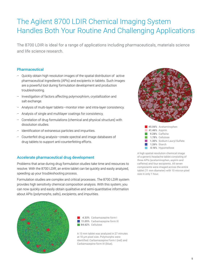# The Agilent 8700 LDIR Chemical Imaging System Handles Both Your Routine And Challenging Applications

The 8700 LDIR is ideal for a range of applications including pharmaceuticals, materials science and life science research.

# Pharmaceutical

- Quickly obtain high resolution images of the spatial distribution of active pharmaceutical ingredients (APIs) and excipients in tablets. Such images are a powerful tool during formulation development and production troubleshooting.
- Investigation of factors affecting polymorphism, crystallization and salt exchange.
- Analysis of multi-layer tablets—monitor inter- and intra-layer consistency.
- Analysis of single and multilayer coatings for consistency.
- Correlation of drug formulations (chemical and physical structure) with dissolution studies.
- Identification of extraneous particles and impurities.
- Counterfeit drug analysis—create spectral and image databases of drug tablets to support anti-counterfeiting efforts.

# Accelerate pharmaceutical drug development

Problems that arise during drug formulation studies take time and resources to resolve. With the 8700 LDIR, an entire tablet can be quickly and easily analyzed, speeding up your troubleshooting process.

Formulation studies are complex and critical processes. The 8700 LDIR system provides high sensitivity chemical composition analysis. With this system, you can now quickly and easily obtain qualitative and semi-quantitative information about APIs (polymorphs, salts), excipients, and impurities.



**4.33%** Carbamazepine form I **11.05%** Carbamazepine form III **84.62%** Cellulose

A 13 mm tablet was analyzed in 27 minutes at 10 µm pixel size. Polymorphs were identified: Carbamazepine Form I (red) and Carbamazepine form III (blue).



|                          |                | 45.06% Acetaminophen        |
|--------------------------|----------------|-----------------------------|
|                          | 41.46% Aspirin |                             |
|                          |                | 9.28% Caffeine              |
|                          |                | 1.78% Cellulose             |
| a sa Ta                  |                | 1.30% Sodium Lauryl Sulfate |
| <b>Contract Contract</b> |                | 1.26% Starch                |
| <b>Contract</b>          |                | 0.16% Hypomellose           |

A high spatial resolution chemical image of a generic headache tablet consisting of three APIs (acetaminophen, aspirin and caffeine) and four excipients. All seven components were imaged across the entire tablet (11 mm diameter) with 10 micron pixel size in only 1 hour.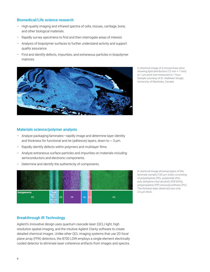### Biomedical/Life science research

- High-quality imaging and infrared spectra of cells, tissues, cartilage, bone, and other biological materials.
- Rapidly survey specimens to find and then interrogate areas of interest.
- Analysis of biopolymer surfaces to further understand activity and support quality assurance.
- Find and identify defects, impurities, and extraneous particles in biopolymer matrices.



A chemical image of a mouse brain slice showing lipid distribution (12 mm × 7 mm) at 1 µm pixel size measured in 1 hour. Sample courtesy of Dr. Kathleen Gough, University of Manitoba, Canada

#### Materials science/polymer analysis

- Analyze packaging/laminates—rapidly image and determine layer identity and thickness for functional and tie (adhesive) layers, down to  $\sim$  3 µm.
- Rapidly identify defects within polymers and multilayer films.
- Analyze extraneous surface particles and impurities on materials including semiconductors and electronic components.
- Determine and identify the authenticity of components.



A chemical image showing layers of the laminate sample (120 µm wide) consisting of polyethylene (PE), polyamide (PA), poly (ethylene vinyl alcohol) (P(EVOH)), polypropylene (PP) and polyurethane (PU). The thinnest layer observed was only 2.6 µm thick.

#### Breakthrough IR Technology

Agilent's innovative design uses quantum cascade laser (QCL) light, high resolution spatial imaging, and the intuitive Agilent Clarity software to create detailed chemical images. Unlike other QCL imaging systems that use 2D focal plane array (FPA) detectors, the 8700 LDIR employs a single-element electrically cooled detector to eliminate laser coherence artifacts from images and spectra.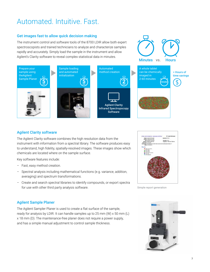# Automated. Intuitive. Fast.

# Get images fast to allow quick decision making

The instrument control and software tools of the 8700 LDIR allow both expert spectroscopists and trained technicians to analyze and characterize samples rapidly and accurately. Simply load the sample in the instrument and allow Agilent's Clarity software to reveal complex statistical data in minutes.



# Agilent Clarity software

The Agilent Clarity software combines the high resolution data from the instrument with information from a spectral library. The software produces easy to understand, high fidelity, spatially-resolved images. These images show which chemicals are located where on the sample surface.

Key software features include:

- Fast, easy method creation.
- Spectral analysis including mathematical functions (e.g. variance, addition, averaging) and spectrum transformations.
- Create and search spectral libraries to identify compounds, or export spectra for use with other third party analysis software.

# Agilent Sample Planer

The Agilent Sampler Planer is used to create a flat surface of the sample, ready for analysis by LDIR. It can handle samples up to 25 mm (W) x 50 mm (L) x 18 mm (D). The maintenance-free planer does not require a power supply, and has a simple manual adjustment to control sample thickness.



Simple report generation